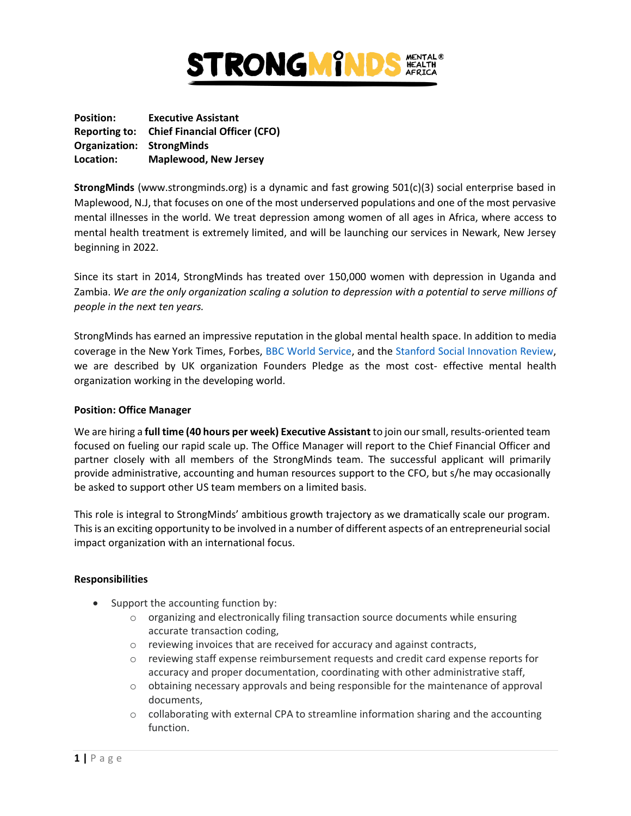

**Position: Executive Assistant Reporting to: Chief Financial Officer (CFO) Organization: StrongMinds Location: Maplewood, New Jersey**

**StrongMinds** (www.strongminds.org) is a dynamic and fast growing 501(c)(3) social enterprise based in Maplewood, N.J, that focuses on one of the most underserved populations and one of the most pervasive mental illnesses in the world. We treat depression among women of all ages in Africa, where access to mental health treatment is extremely limited, and will be launching our services in Newark, New Jersey beginning in 2022.

Since its start in 2014, StrongMinds has treated over 150,000 women with depression in Uganda and Zambia. *We are the only organization scaling a solution to depression with a potential to serve millions of people in the next ten years.* 

StrongMinds has earned an impressive reputation in the global mental health space. In addition to media coverage in the New York Times, Forbes, BBC World Service, and the Stanford Social Innovation Review, we are described by UK organization Founders Pledge as the most cost- effective mental health organization working in the developing world.

#### **Position: Office Manager**

We are hiring a **full time (40 hours per week) Executive Assistant** to join our small, results-oriented team focused on fueling our rapid scale up. The Office Manager will report to the Chief Financial Officer and partner closely with all members of the StrongMinds team. The successful applicant will primarily provide administrative, accounting and human resources support to the CFO, but s/he may occasionally be asked to support other US team members on a limited basis.

This role is integral to StrongMinds' ambitious growth trajectory as we dramatically scale our program. This is an exciting opportunity to be involved in a number of different aspects of an entrepreneurial social impact organization with an international focus.

#### **Responsibilities**

- Support the accounting function by:
	- $\circ$  organizing and electronically filing transaction source documents while ensuring accurate transaction coding,
	- o reviewing invoices that are received for accuracy and against contracts,
	- $\circ$  reviewing staff expense reimbursement requests and credit card expense reports for accuracy and proper documentation, coordinating with other administrative staff,
	- $\circ$  obtaining necessary approvals and being responsible for the maintenance of approval documents,
	- $\circ$  collaborating with external CPA to streamline information sharing and the accounting function.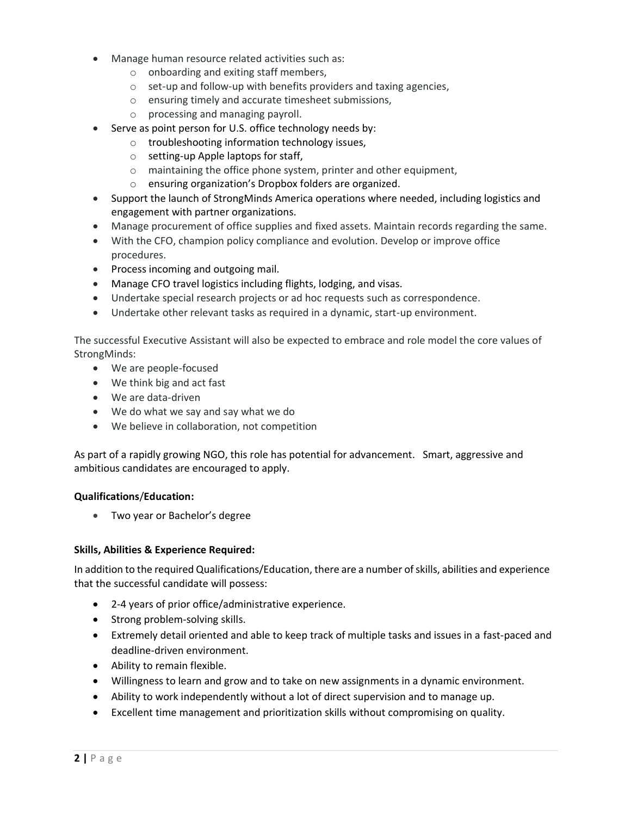- Manage human resource related activities such as:
	- o onboarding and exiting staff members,
	- $\circ$  set-up and follow-up with benefits providers and taxing agencies,
	- o ensuring timely and accurate timesheet submissions,
	- o processing and managing payroll.
- Serve as point person for U.S. office technology needs by:
	- o troubleshooting information technology issues,
	- o setting-up Apple laptops for staff,
	- o maintaining the office phone system, printer and other equipment,
	- o ensuring organization's Dropbox folders are organized.
- Support the launch of StrongMinds America operations where needed, including logistics and engagement with partner organizations.
- Manage procurement of office supplies and fixed assets. Maintain records regarding the same.
- With the CFO, champion policy compliance and evolution. Develop or improve office procedures.
- Process incoming and outgoing mail.
- Manage CFO travel logistics including flights, lodging, and visas.
- Undertake special research projects or ad hoc requests such as correspondence.
- Undertake other relevant tasks as required in a dynamic, start-up environment.

The successful Executive Assistant will also be expected to embrace and role model the core values of StrongMinds:

- We are people-focused
- We think big and act fast
- We are data-driven
- We do what we say and say what we do
- We believe in collaboration, not competition

As part of a rapidly growing NGO, this role has potential for advancement. Smart, aggressive and ambitious candidates are encouraged to apply.

#### **Qualifications**/**Education:**

• Two year or Bachelor's degree

#### **Skills, Abilities & Experience Required:**

In addition to the required Qualifications/Education, there are a number of skills, abilities and experience that the successful candidate will possess:

- 2-4 years of prior office/administrative experience.
- Strong problem-solving skills.
- Extremely detail oriented and able to keep track of multiple tasks and issues in a fast-paced and deadline-driven environment.
- Ability to remain flexible.
- Willingness to learn and grow and to take on new assignments in a dynamic environment.
- Ability to work independently without a lot of direct supervision and to manage up.
- Excellent time management and prioritization skills without compromising on quality.